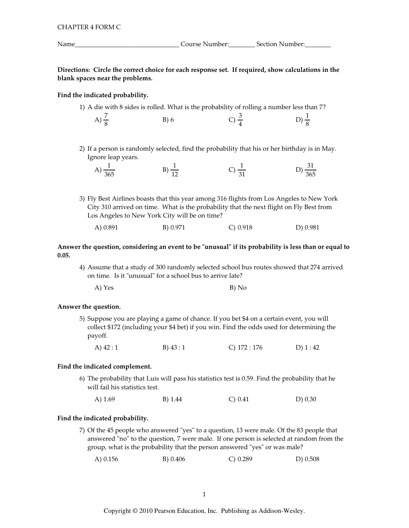| Name | Course Number: | Section Number: |  |
|------|----------------|-----------------|--|

Directions: Circle the correct choice for each response set. If required, show calculations in the blank spaces near the problems.

# Find the indicated probability.

1) A die with 8 sides is rolled. What is the probability of rolling a number less than 7?

| A) $\frac{7}{8}$ | B)6 | $C) \frac{3}{4}$ | D) $\frac{1}{8}$ |
|------------------|-----|------------------|------------------|
|                  |     |                  |                  |

2) If a person is randomly selected, find the probability that his or her birthday is in May. Ignore leap years.

| A<br>____<br>$\sim$ $-$<br>.365 | -- | -<br>$\sim$ $-$<br>365 |
|---------------------------------|----|------------------------|
|                                 |    |                        |

3) Fly Best Airlines boasts that this year among 316 flights from Los Angeles to New York City 310 arrived on time. What is the probability that the next flight on Fly Best from Los Angeles to New York City will be on time?

| A) 0.891 | B) 0.971 | C) 0.918 | D) 0.981 |
|----------|----------|----------|----------|
|          |          |          |          |

Answer the question, considering an event to be "unusual" if its probability is less than or equal to  $0.05.$ 

4) Assume that a study of 300 randomly selected school bus routes showed that 274 arrived on time. Is it "unusual" for a school bus to arrive late?

| A) Yes | B) No |  |
|--------|-------|--|
|        |       |  |

### Answer the question.

- 5) Suppose you are playing a game of chance. If you bet \$4 on a certain event, you will collect \$172 (including your \$4 bet) if you win. Find the odds used for determining the payoff.
	- A)  $42:1$ B)  $43:1$ C)  $172:176$ D $(1:42)$

#### Find the indicated complement.

- 6) The probability that Luis will pass his statistics test is 0.59. Find the probability that he will fail his statistics test.
	- A)  $1.69$ B) 1.44  $C) 0.41$  $D) 0.30$

## Find the indicated probability.

- 7) Of the 45 people who answered "yes" to a question, 13 were male. Of the 83 people that answered "no" to the question, 7 were male. If one person is selected at random from the group, what is the probability that the person answered "yes" or was male?
	- A $) 0.156$ B) 0.406  $C) 0.289$  $D) 0.508$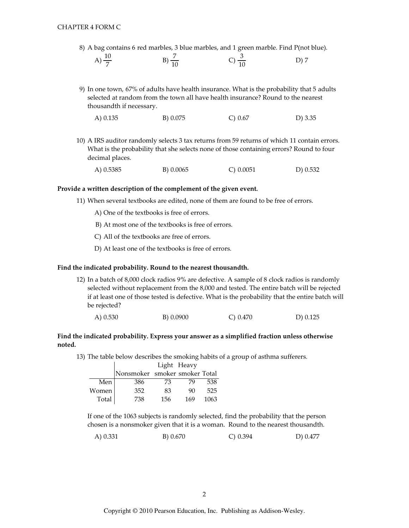8) A bag contains 6 red marbles, 3 blue marbles, and 1 green marble. Find P(not blue).

| A) $\frac{10}{7}$ | $(B) \frac{7}{10}$ | C) $\frac{6}{10}$ | D) 7 |
|-------------------|--------------------|-------------------|------|
|                   |                    |                   |      |

9) In one town, 67% of adults have health insurance. What is the probability that 5 adults selected at random from the town all have health insurance? Round to the nearest thousandth if necessary.

| B) 0.075<br>A) 0.135<br>C) 0.67 | $D)$ 3.35 |
|---------------------------------|-----------|
|---------------------------------|-----------|

10) A IRS auditor randomly selects 3 tax returns from 59 returns of which 11 contain errors. What is the probability that she selects none of those containing errors? Round to four decimal places.

| A) 0.5385 | B) 0.0065 | $C$ ) 0.0051 | D) 0.532 |
|-----------|-----------|--------------|----------|
|           |           |              |          |

#### Provide a written description of the complement of the given event.

- 11) When several textbooks are edited, none of them are found to be free of errors.
	- A) One of the textbooks is free of errors.
	- B) At most one of the textbooks is free of errors.
	- C) All of the textbooks are free of errors.
	- D) At least one of the textbooks is free of errors.

# Find the indicated probability. Round to the nearest thousandth.

12) In a batch of 8,000 clock radios 9% are defective. A sample of 8 clock radios is randomly selected without replacement from the 8,000 and tested. The entire batch will be rejected if at least one of those tested is defective. What is the probability that the entire batch will be rejected?

| A) 0.530 | B) 0.0900 | $C$ ) 0.470 | D) 0.125 |
|----------|-----------|-------------|----------|
|          |           |             |          |

# Find the indicated probability. Express your answer as a simplified fraction unless otherwise noted.

13) The table below describes the smoking habits of a group of asthma sufferers.

|       |                               |     | Light Heavy |      |
|-------|-------------------------------|-----|-------------|------|
|       | Nonsmoker smoker smoker Total |     |             |      |
| Men   | 386                           | 73  | 79          | 538  |
| Women | 352                           | 83  | 90          | 525  |
| Total | 738                           | 156 | 169         | 1063 |

If one of the 1063 subjects is randomly selected, find the probability that the person chosen is a nonsmoker given that it is a woman. Round to the nearest thousandth.

A) 0.331 B) 0.670  $C) 0.394$ D) 0.477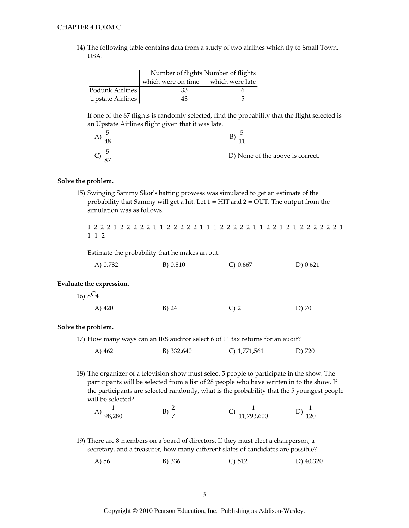14) The following table contains data from a study of two airlines which fly to Small Town, USA.

|                  | Number of flights Number of flights |   |  |
|------------------|-------------------------------------|---|--|
|                  | which were on time which were late  |   |  |
| Podunk Airlines  | 33                                  |   |  |
| Upstate Airlines | 43                                  | 5 |  |

If one of the 87 flights is randomly selected, find the probability that the flight selected is an Upstate Airlines flight given that it was late.

| $\overline{10}$ |                                  |
|-----------------|----------------------------------|
|                 | D) None of the above is correct. |

## Solve the problem.

15) Swinging Sammy Skor's batting prowess was simulated to get an estimate of the probability that Sammy will get a hit. Let  $1 = HIT$  and  $2 = OUT$ . The output from the simulation was as follows.

1 2 2 2 1 2 2 2 2 2 1 1 2 2 2 2 2 1 1 1 2 2 2 2 2 1 1 2 2 1 2 1 2 2 2 2 2 2 2 1 1 1 2

Estimate the probability that he makes an out.

| A) 0.782 | B) 0.810 | C) $0.667$ | D $) 0.621$ |
|----------|----------|------------|-------------|
|          |          |            |             |

### Evaluate the expression.

16)  $8C_4$ 

| A) 420 | B) 24 | $C$ ) 2 | D) 70 |
|--------|-------|---------|-------|
|        |       |         |       |

#### Solve the problem.

17) How many ways can an IRS auditor select 6 of 11 tax returns for an audit?

C) 1,771,561 A) 462 B) 332,640 D) 720

18) The organizer of a television show must select 5 people to participate in the show. The participants will be selected from a list of 28 people who have written in to the show. If the participants are selected randomly, what is the probability that the 5 youngest people will be selected?

A) 
$$
\frac{1}{98,280}
$$
 \t B)  $\frac{2}{7}$  \t C)  $\frac{1}{11,793,600}$  \t D)  $\frac{1}{120}$ 

- 19) There are 8 members on a board of directors. If they must elect a chairperson, a secretary, and a treasurer, how many different slates of candidates are possible?
	- A) 56 B) 336 D) 40,320  $C) 512$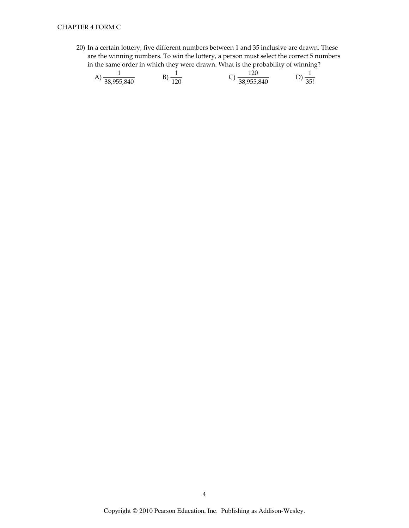20) In a certain lottery, five different numbers between 1 and 35 inclusive are drawn. These are the winning numbers. To win the lottery, a person must select the correct 5 numbers in the same order in which they were drawn. What is the probability of winning?

A) 
$$
\frac{1}{38,955,840}
$$
 \t B)  $\frac{1}{120}$  \t C)  $\frac{120}{38,955,840}$  \t D)  $\frac{1}{35!}$